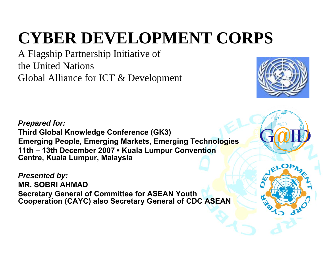## **CYBER DEVELOPMENT CORPS**

A Flagship Partnership Initiative of the United Nations Global Alliance for ICT & Development



*Prepared for:* **Third Global Knowledge Conference (GK3) Emerging People, Emerging Markets, Emerging Technologies 11th – 13th December 2007 ▪ Kuala Lumpur Convention Centre, Kuala Lumpur, Malaysia**

*Presented by:* **MR. SOBRI AHMADSecretary General of Committee for ASEAN Youth Cooperation (CAYC) also Secretary General of CDC ASEAN**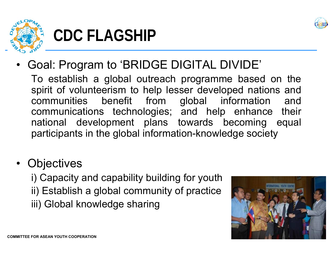



### **CDC FLAGSHIP**

•Goal: Program to 'BRIDGE DIGITAL DIVIDE'

To establish a global outreach programme based on the spirit of volunteerism to help lesser developed nations and communities benefit from global information and communications technologies; and help enhance their national development plans towards becoming equal participants in the global information-knowledge society

- •**Objectives** 
	- i) Capacity and capability building for youth ii) Establish a global community of practice iii) Global knowledge sharing

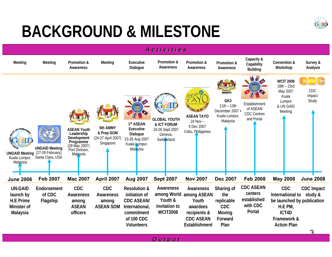

### **BACKGROUND & MILESTONE**

| Activities                                                                 |                                           |                                                                                                            |                                                           |                                                                                                                                  |                                                                                 |                                                                                                    |                                                                              |                                                                  |                                                                                                                               |                        |
|----------------------------------------------------------------------------|-------------------------------------------|------------------------------------------------------------------------------------------------------------|-----------------------------------------------------------|----------------------------------------------------------------------------------------------------------------------------------|---------------------------------------------------------------------------------|----------------------------------------------------------------------------------------------------|------------------------------------------------------------------------------|------------------------------------------------------------------|-------------------------------------------------------------------------------------------------------------------------------|------------------------|
| Meeting                                                                    | Meeting                                   | Promotion &<br>Awareness                                                                                   | Meeting                                                   | Executive<br>Dialogue                                                                                                            | Promotion &<br>Awareness                                                        | Promotion &<br>Awareness                                                                           | Promotion &<br>Awareness                                                     | Capacity &<br>Capability<br><b>Building</b>                      | Convention &<br>Workshop                                                                                                      | Survey &<br>Analysis   |
| <b>UNGAID Meeting (27-28 February)</b><br>Kuala Lumpur,<br>Malaysia        | <b>UNGAID Meeting</b><br>Santa Clara, USA | <b>ASEAN Youth</b><br>Leadership<br>Development<br>Programme<br>(28 Mac 2007)<br>Port Dickson,<br>Malaysia | 5th AMMY<br>& Prep-SOM<br>(24-27 April 2007)<br>Singapore | 1st ASEAN<br>Executive<br>Dialogue<br>23-26 Aug 2007<br>Kuala Lumpur,<br>Malaysia                                                | <b>GLOBAL YOUTH</b><br>& ICT FORUM<br>24-26 Sept 2007<br>Geneva,<br>Switzerland | <b>ASEAN TAYO</b><br>24 Nov -<br>6 Dec 2007<br>Cebu, Philippines                                   | MOST<br>GK3<br>$11th - 13th$<br>December 2007 -<br>Kuala Lumpur,<br>Malaysia | Establishment<br>of ASEAN<br><b>CDC Centres</b><br>and Portal    | <b>WCIT 2008</b><br>$18th - 23rd$<br>May 2007<br>Kuala<br>Lumpur<br>& UN GAID<br>Meeting                                      | CDC<br>Impact<br>Study |
| <b>June 2006</b>                                                           | <b>Feb 2007</b>                           | <b>Mac 2007</b>                                                                                            | April 2007                                                | <b>Aug 2007</b>                                                                                                                  | <b>Sept 2007</b>                                                                | <b>Nov 2007</b>                                                                                    | <b>Dec 2007</b>                                                              | <b>Feb 2008</b>                                                  | <b>May 2008</b>                                                                                                               | <b>June 2008</b>       |
| <b>UN-GAID</b><br>launch by<br><b>H.E Prime</b><br>Minister of<br>Malaysia | Endorsement<br>of CDC<br>Flagship         | CDC<br>Awareness<br>among<br><b>ASEAN</b><br>officers                                                      | <b>CDC</b><br>Awareness<br>among<br><b>ASEAN SOM</b>      | <b>Resolution &amp;</b><br>initiation of<br><b>CDC ASEAN/</b><br>International,<br>commitment<br>of 100 CDC<br><b>Volunteers</b> | Awareness<br>among World<br>Youth &<br>Invitation to<br><b>WCIT2008</b>         | Awareness<br>among ASEAN<br>Youth<br>awardees<br>recipients &<br><b>CDC ASEAN</b><br>Establishment | Sharing of<br>the<br>replicable<br><b>CDC</b><br>Moving<br>Forward<br>Plan   | <b>CDC ASEAN</b><br>centers<br>established<br>with CDC<br>Portal | <b>CDC</b><br>International to study &<br>be launched by publication<br>H.E PM,<br>ICT4D<br>Framework &<br><b>Action Plan</b> | <b>CDC</b> Impact      |
|                                                                            |                                           |                                                                                                            |                                                           |                                                                                                                                  |                                                                                 |                                                                                                    |                                                                              |                                                                  |                                                                                                                               |                        |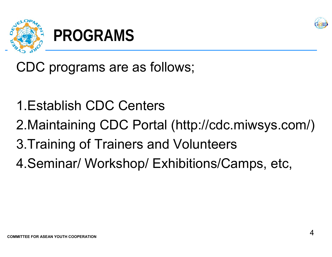



CDC programs are as follows;

- 1.Establish CDC Centers
- 2.Maintaining CDC Portal (http://cdc.miwsys.com/)
- 3.Training of Trainers and Volunteers
- 4.Seminar/ Workshop/ Exhibitions/Camps, etc,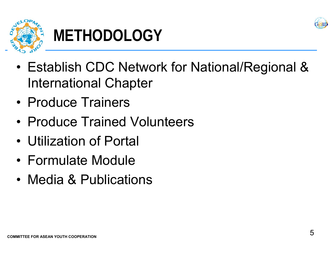



# **METHODOLOGY**

- • Establish CDC Network for National/Regional & International Chapter
- Produce Trainers
- Produce Trained Volunteers
- Utilization of Portal
- Formulate Module
- Media & Publications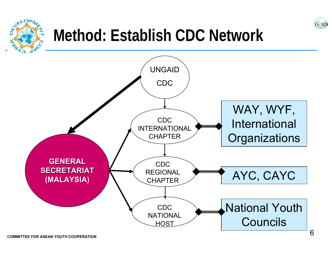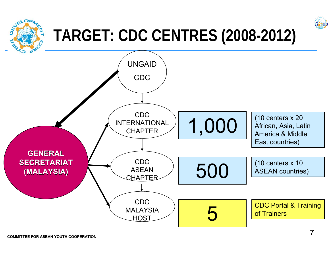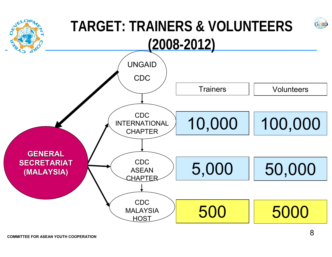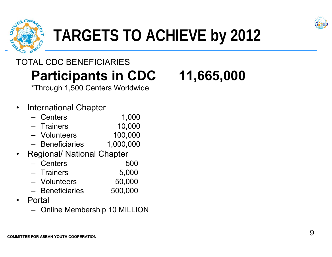



### TOTAL CDC BENEFICIARIES**Participants in CDC 11,665,000**

\*Through 1,500 Centers Worldwide

### •International Chapter

|                          | – Centers       | 1,000  |
|--------------------------|-----------------|--------|
| $\overline{\phantom{0}}$ | <b>Trainers</b> | 10,000 |

- Volunteers 100,000
- Beneficiaries 1,000,000
- •Regional/ National Chapter

| – Centers    | 500    |
|--------------|--------|
| - Trainers   | 5,000  |
| — Volunteers | 50.000 |

- $U$ oo, $U$ uunteers  $U$ oo, $U$
- Beneficiaries 500,000
- • Portal
	- Online Membership 10 MILLION

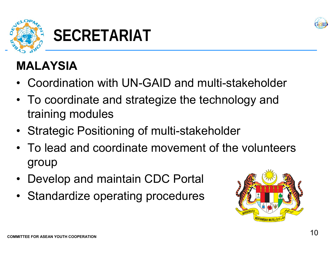



### **MALAYSIA**

- •Coordination with UN-GAID and multi-stakeholder
- • To coordinate and strategize the technology and training modules
- Strategic Positioning of multi-stakeholder
- To lead and coordinate movement of the volunteers group
- $\bullet$ Develop and maintain CDC Portal
- Standardize operating procedures

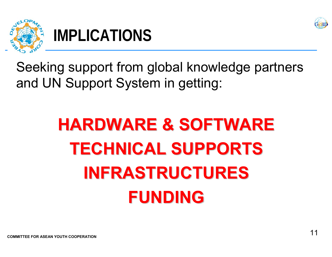



### **IMPLICATIONS**

Seeking support from global knowledge partners and UN Support System in getting:

# **HARDWARE & SOFTWARE HARDWARE & SOFTWARE TECHNICAL SUPPORTS TECHNICAL SUPPORTSINFRASTRUCTURES INFRASTRUCTURESFUNDING FUNDING**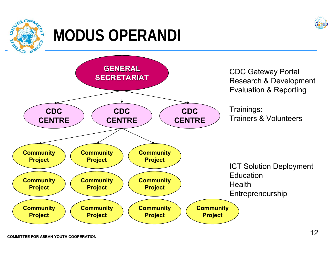